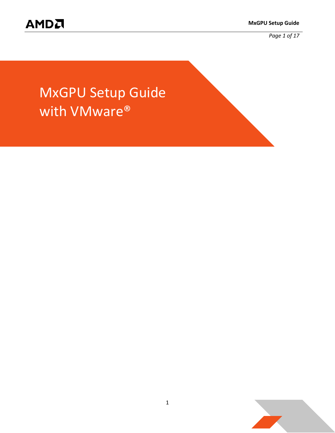*Page 1 of 17*

# MxGPU Setup Guide with VMware®

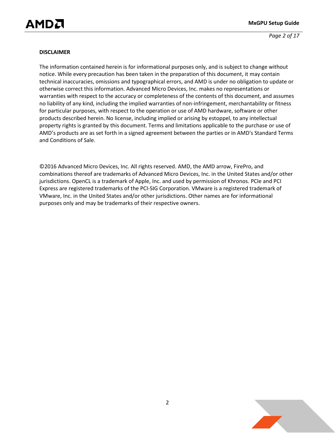*Page 2 of 17*

#### **DISCLAIMER**

The information contained herein is for informational purposes only, and is subject to change without notice. While every precaution has been taken in the preparation of this document, it may contain technical inaccuracies, omissions and typographical errors, and AMD is under no obligation to update or otherwise correct this information. Advanced Micro Devices, Inc. makes no representations or warranties with respect to the accuracy or completeness of the contents of this document, and assumes no liability of any kind, including the implied warranties of non-infringement, merchantability or fitness for particular purposes, with respect to the operation or use of AMD hardware, software or other products described herein. No license, including implied or arising by estoppel, to any intellectual property rights is granted by this document. Terms and limitations applicable to the purchase or use of AMD's products are as set forth in a signed agreement between the parties or in AMD's Standard Terms and Conditions of Sale.

©2016 Advanced Micro Devices, Inc. All rights reserved. AMD, the AMD arrow, FirePro, and combinations thereof are trademarks of Advanced Micro Devices, Inc. in the United States and/or other jurisdictions. OpenCL is a trademark of Apple, Inc. and used by permission of Khronos. PCIe and PCI Express are registered trademarks of the PCI-SIG Corporation. VMware is a registered trademark of VMware, Inc. in the United States and/or other jurisdictions. Other names are for informational purposes only and may be trademarks of their respective owners.

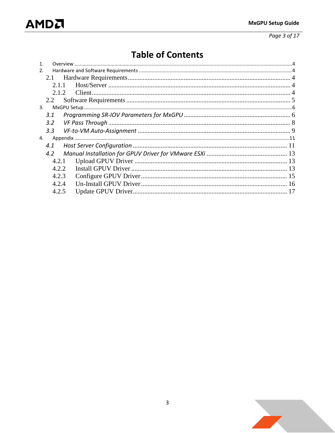Page 3 of 17

## **Table of Contents**

| 2.             |  |
|----------------|--|
| 2.1            |  |
| 2.1.1          |  |
| 2.1.2.         |  |
| 2.2            |  |
| 3 <sub>1</sub> |  |
| 3.1            |  |
| 3.2            |  |
| 3.3            |  |
| 4.             |  |
| 4.1            |  |
| 4.2            |  |
| 4.2.1          |  |
| 4.2.2          |  |
| 4.2.3          |  |
| 4.2.4          |  |
| 4.2.5          |  |

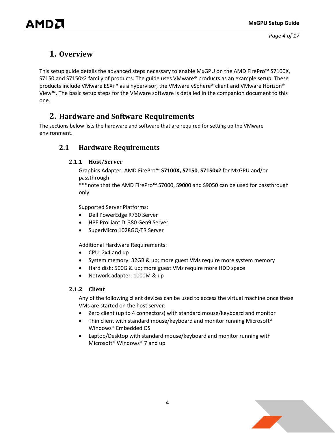### <span id="page-3-0"></span>**1. Overview**

This setup guide details the advanced steps necessary to enable MxGPU on the AMD FirePro™ S7100X, S7150 and S7150x2 family of products. The guide uses VMware® products as an example setup. These products include VMware ESXi™ as a hypervisor, the VMware vSphere® client and VMware Horizon® View™. The basic setup steps for the VMware software is detailed in the companion document to this one.

### <span id="page-3-1"></span>**2. Hardware and Software Requirements**

<span id="page-3-2"></span>The sections below lists the hardware and software that are required for setting up the VMware environment.

#### <span id="page-3-3"></span>**2.1 Hardware Requirements**

#### **2.1.1 Host/Server**

Graphics Adapter: AMD FirePro™ **S7100X, S7150**, **S7150x2** for MxGPU and/or passthrough

\*\*\*note that the AMD FirePro™ S7000, S9000 and S9050 can be used for passthrough only

Supported Server Platforms:

- Dell PowerEdge R730 Server
- HPE ProLiant DL380 Gen9 Server
- SuperMicro 1028GQ-TR Server

Additional Hardware Requirements:

- CPU: 2x4 and up
- System memory: 32GB & up; more guest VMs require more system memory
- Hard disk: 500G & up; more guest VMs require more HDD space
- Network adapter: 1000M & up

#### <span id="page-3-4"></span>**2.1.2 Client**

Any of the following client devices can be used to access the virtual machine once these VMs are started on the host server:

- Zero client (up to 4 connectors) with standard mouse/keyboard and monitor
- Thin client with standard mouse/keyboard and monitor running Microsoft<sup>®</sup> Windows® Embedded OS
- Laptop/Desktop with standard mouse/keyboard and monitor running with Microsoft® Windows® 7 and up

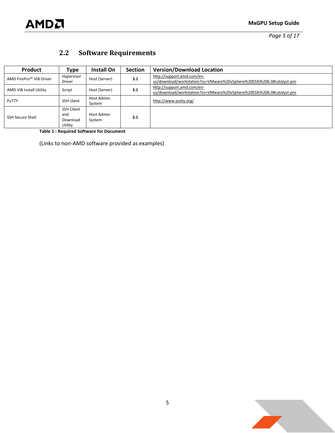

*Page 5 of 17*

## <span id="page-4-0"></span>**2.2 Software Requirements**

| Product                 | <b>Type</b>                              | Install On            | <b>Section</b> | <b>Version/Download Location</b>                                                                    |
|-------------------------|------------------------------------------|-----------------------|----------------|-----------------------------------------------------------------------------------------------------|
| AMD FirePro™ VIB Driver | Hypervisor<br>Driver                     | Host (Server)         | 3.1            | http://support.amd.com/en-<br>us/download/workstation?os=VMware%20vSphere%20ESXi%206.0#catalyst-pro |
| AMD VIB Install Utility | Script                                   | Host (Server)         | 3.1            | http://support.amd.com/en-<br>us/download/workstation?os=VMware%20vSphere%20ESXi%206.0#catalyst-pro |
| PuTTY                   | SSH client                               | Host Admin.<br>System |                | http://www.putty.org/                                                                               |
| <b>SSH Secure Shell</b> | SSH Client<br>and<br>Download<br>Utility | Host Admin.<br>System | 3.1            |                                                                                                     |

<span id="page-4-1"></span>**Table 1 : Required Software for Document**

(Links to non-AMD software provided as examples)

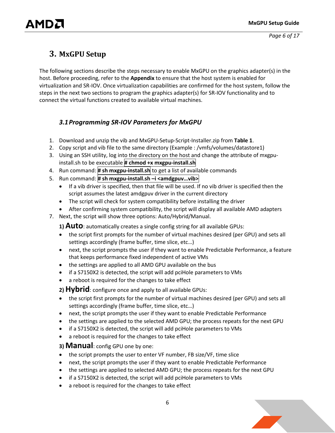## <span id="page-5-0"></span>**3. MxGPU Setup**

AMDA

The following sections describe the steps necessary to enable MxGPU on the graphics adapter(s) in the host. Before proceeding, refer to the **[Appendix](#page-10-0)** to ensure that the host system is enabled for virtualization and SR-IOV. Once virtualization capabilities are confirmed for the host system, follow the steps in the next two sections to program the graphics adapter(s) for SR-IOV functionality and to connect the virtual functions created to available virtual machines.

#### <span id="page-5-1"></span>*3.1Programming SR-IOV Parameters for MxGPU*

- 1. Download and unzip the vib and MxGPU-Setup-Script-Installer.zip from **[Table 1](#page-4-1)**.
- 2. Copy script and vib file to the same directory (Example : /vmfs/volumes/datastore1)
- 3. Using an SSH utility, log into the directory on the host and change the attribute of mxgpuinstall.sh to be executable **# chmod +x mxgpu-install.sh**
- 4. Run command: **# sh mxgpu-install.sh** to get a list of available commands
- 5. Run command: **# sh mxgpu-install.sh –i <amdgpuv…vib>**
	- If a vib driver is specified, then that file will be used. If no vib driver is specified then the script assumes the latest amdgpuv driver in the current directory
	- The script will check for system compatibility before installing the driver
	- After confirming system compatibility, the script will display all available AMD adapters
- 7. Next, the script will show three options: Auto/Hybrid/Manual.

**1) Auto**: automatically creates a single config string for all available GPUs:

- the script first prompts for the number of virtual machines desired (per GPU) and sets all settings accordingly (frame buffer, time slice, etc…)
- next, the script prompts the user if they want to enable Predictable Performance, a feature that keeps performance fixed independent of active VMs
- the settings are applied to all AMD GPU available on the bus
- if a S7150X2 is detected, the script will add pciHole parameters to VMs
- a reboot is required for the changes to take effect

**2) Hybrid**: configure once and apply to all available GPUs:

- the script first prompts for the number of virtual machines desired (per GPU) and sets all settings accordingly (frame buffer, time slice, etc…)
- next, the script prompts the user if they want to enable Predictable Performance
- the settings are applied to the selected AMD GPU; the process repeats for the next GPU
- if a S7150X2 is detected, the script will add pciHole parameters to VMs
- a reboot is required for the changes to take effect

**3) Manual**: config GPU one by one:

- the script prompts the user to enter VF number, FB size/VF, time slice
- next, the script prompts the user if they want to enable Predictable Performance
- the settings are applied to selected AMD GPU; the process repeats for the next GPU
- if a S7150X2 is detected, the script will add pciHole parameters to VMs
- a reboot is required for the changes to take effect

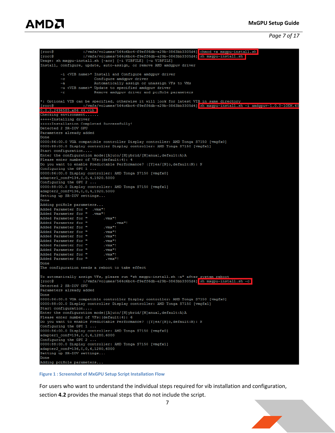**All Contracts** 

## AMDA

*Page 7 of 17*

:/vmfs/volumes/564c6bc4-f9eff6db-e29b-3863bb3305d4] chmod +x mxgpu-install.sh  $[root@]$ **I**root@ :/vmfs/volumes/564c6bc4-f9eff6db-e29b-3863bb3305d4] sh mxgpu-install.sh Usage: sh mxgpu-install.sh [-acr] [-i VIBFILE] [-u VIBFILE] Install, configure, update, auto-assign, or remove AMD amdgpuv driver -i <VIB name>\* Install and Configure amdgpuv driver  $-c$ Configure amdgpuv driver  $-a$ Automatically assign or unassign VFs to VMs -u <VIB name>\* Update to specified amdgpuv driver Remove amdgpuv driver and pciHole parameters  $-\mathbf{r}$ \*: Optional VIB can be specified, otherwise it will look for latest VIB in same directory<br>[root@ :/vmfs/volumes/564c6bc4-f9eff6db-e29b-3863bb3305d4] <mark>sh mxgpu-install.sh -i amdgpuv-1.0.0-10EM.60</mark>  $[root@]$ 0.0.0.2494585.x86 64.vib Checking environment...... +++++Installing driver +++++Installation Completed Successfully! Detected 2 SR-IOV GPU Parameters already added Done 0000:86:00.0 VGA compatible controller Display controller: AMD Tonga S7150 [vmgfx0] 0000:88:00.0 Display controller Display controller: AMD Tonga S7150 [vmgfx1] Start configuration.... Enter the configuration mode([A]uto/[H]ybrid/[M]anual, default:A) A Please enter number of VFs: (default:4): 4 Do you want to enable Predictable Performance? ([Y]es/[N]o, default:N): N Configuring the GPU  $1 \ldots$ 0000:86:00.0 Display controller: AMD Tonga S7150 [vmgfx0] adapter1\_conf=134, 0, 0, 4, 1920, 5000 Configuring the GPU 2 ... 0000:88:00.0 Display controller: AMD Tonga S7150 [vmgfx1] adapter2\_conf=136, 0, 0, 4, 1920, 5000 Setting up SR-IOV settings... Done Adding pciHole parameters... Added Parameter for " .vmx"!<br>Added Parameter for " .vmx"!<br>Added Parameter for " .  $. vmx$ <sup> $n$ </sup>! Added Parameter for "  $,\mathtt{vmx}^n$  !  $. vmx$ "! Added Parameter for " Added Parameter for " , vm $\mathbf{x}^n$  ! Added Parameter for "  $,\mathtt{vmx}^n$  ! Added Parameter for "  $. vmx$ <sup>n</sup>! Added Parameter for "  $. vmx$ <sup> $n$ </sup>!  $, \text{vmx}^n$ ! Added Parameter for " Added Parameter for "  $\mathrm{.vmx}^{\mathrm{m}}$  !  $. vmx$ "! Added Parameter for " Done The configuration needs a reboot to take effect To automatically assign VFs, please run "sh mxgpu-install.sh -a" after\_system\_reboot  $[root@]$ :/vmfs/volumes/564c6bc4-f9eff6db-e29b-3863bb3305d4] sh mxgpu-install.sh -c Detected 2 SR-IOV GPU Parameters already added Done 0000:86:00.0 VGA compatible controller Display controller: AMD Tonga S7150 [vmgfx0] 0000:88:00.0 Display controller Display controller: AMD Tonga S7150 [vmgfx1] Start configuration.... Enter the configuration mode([A]uto/[H]ybrid/[M]anual, default:A)A<br>Please enter number of VFs: (default:4): 6 Do you want to enable Predictable Performance? ([Y]es/[N]o, default:N): N Configuring the GPU  $1 \ldots$ 0000:86:00.0 Display controller: AMD Tonga S7150 [vmgfx0] adapter1 conf=134,0,0,6,1280,6000 Configuring the GPU  $2$ ... 0000:88:00.0 Display controller: AMD Tonga S7150 [vmgfx1] adapter2\_conf=136,0,0,6,1280,6000 Setting up SR-IOV settings... Done Adding pciHole parameters...

#### **Figure 1 : Screenshot of MxGPU Setup Script Installation Flow**

For users who want to understand the individual steps required for vib installation and configuration, section **[4.2](#page-12-0)** provides the manual steps that do not include the script.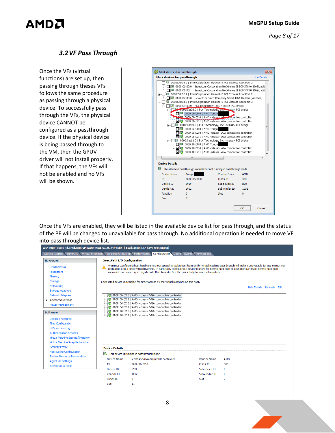*Page 8 of 17*

#### <span id="page-7-0"></span>*3.2VF Pass Through*

Once the VFs (virtual functions) are set up, then passing through theses VFs follows the same procedure as passing through a physical device. To successfully pass through the VFs, the physical device CANNOT be configured as a passthrough device. If the physical device is being passed through to the VM, then the GPUV driver will not install properly. If that happens, the VFs will not be enabled and no VFs will be shown.



Once the VFs are enabled, they will be listed in the available device list for pass through, and the status of the PF will be changed to unavailable for pass through. No additional operation is needed to move VF into pass through device list.

| <b>Hardware</b>                    | <b>DirectPath I/O Configuration</b> |                                                                                                                                                                                                                                                                                                             |                      |                           |  |
|------------------------------------|-------------------------------------|-------------------------------------------------------------------------------------------------------------------------------------------------------------------------------------------------------------------------------------------------------------------------------------------------------------|----------------------|---------------------------|--|
| <b>Health Status</b>               |                                     | Warning: Configuring host hardware without special virtualization features for virtual machine passthrough will make it unavailable for use except via<br>dedicating it to a single virtual machine. In particular, configuring a device needed for normal host boot or operation can make normal host boot |                      |                           |  |
| <b>Processors</b>                  |                                     | impossible and may require significant effort to undo. See the online help for more information.                                                                                                                                                                                                            |                      |                           |  |
| Memory                             |                                     |                                                                                                                                                                                                                                                                                                             |                      |                           |  |
| Storage                            |                                     | Each listed device is available for direct access by the virtual machines on this host.                                                                                                                                                                                                                     |                      |                           |  |
| Networking                         |                                     |                                                                                                                                                                                                                                                                                                             |                      | Hide Details Refresh Edit |  |
| <b>Storage Adapters</b>            |                                     |                                                                                                                                                                                                                                                                                                             |                      |                           |  |
| <b>Network Adapters</b>            |                                     | 0000:0b:02.0   AMD <class> VGA compatible controller</class>                                                                                                                                                                                                                                                |                      |                           |  |
| Advanced Settings                  |                                     | <b>■ 0000:0b:02.1</b>   AMD <class> VGA compatible controller</class>                                                                                                                                                                                                                                       |                      |                           |  |
| <b>Power Management</b>            | 儑<br>I.                             | 0000:0d:02.0   AMD <class> VGA compatible controller<br/>0000:0d:02.1   AMD <class> VGA compatible controller</class></class>                                                                                                                                                                               |                      |                           |  |
|                                    |                                     | 0000:10:02.0   AMD <class> VGA compatible controller</class>                                                                                                                                                                                                                                                |                      |                           |  |
| <b>Software</b>                    |                                     | <b>■</b> 0000:10:02.1   AMD <class> VGA compatible controller</class>                                                                                                                                                                                                                                       |                      |                           |  |
| <b>Licensed Features</b>           |                                     |                                                                                                                                                                                                                                                                                                             |                      |                           |  |
| <b>Time Configuration</b>          |                                     |                                                                                                                                                                                                                                                                                                             |                      |                           |  |
| DNS and Routing                    |                                     |                                                                                                                                                                                                                                                                                                             |                      |                           |  |
| <b>Authentication Services</b>     |                                     |                                                                                                                                                                                                                                                                                                             |                      |                           |  |
| Virtual Machine Startup/Shutdown   |                                     |                                                                                                                                                                                                                                                                                                             |                      |                           |  |
| Virtual Machine Swapfile Location  |                                     |                                                                                                                                                                                                                                                                                                             |                      |                           |  |
| Security Profile                   | <b>Device Details</b>               |                                                                                                                                                                                                                                                                                                             |                      |                           |  |
|                                    |                                     |                                                                                                                                                                                                                                                                                                             |                      |                           |  |
| <b>Host Cache Configuration</b>    |                                     |                                                                                                                                                                                                                                                                                                             |                      |                           |  |
| <b>System Resource Reservation</b> | le.                                 | This device is running in passthrough mode                                                                                                                                                                                                                                                                  |                      |                           |  |
| <b>Agent VM Settings</b>           | <b>Device Name</b>                  | <class>VGA compatible controller</class>                                                                                                                                                                                                                                                                    | <b>Vendor Name</b>   | AMD                       |  |
| <b>Advanced Settings</b>           | ID                                  | 0000:0b:02.0                                                                                                                                                                                                                                                                                                | Class ID             | 300                       |  |
|                                    | Device ID                           | 692F                                                                                                                                                                                                                                                                                                        | Subdevice ID         | 0                         |  |
|                                    | Vendor ID<br><b>Function</b>        | 1002<br>0                                                                                                                                                                                                                                                                                                   | Subvendor ID<br>Slot | 0<br>2                    |  |

8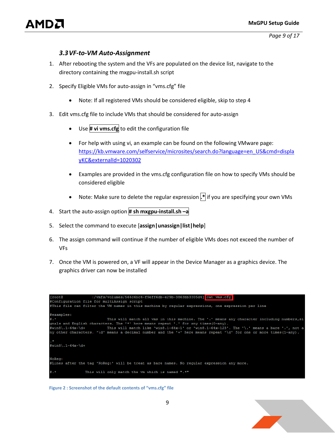*Page 9 of 17*

#### *3.3VF-to-VM Auto-Assignment*

- <span id="page-8-0"></span>1. After rebooting the system and the VFs are populated on the device list, navigate to the directory containing the mxgpu-install.sh script
- 2. Specify Eligible VMs for auto-assign in "vms.cfg" file
	- Note: If all registered VMs should be considered eligible, skip to step 4
- 3. Edit vms.cfg file to include VMs that should be considered for auto-assign
	- Use **# vi vms.cfg** to edit the configuration file
	- For help with using vi, an example can be found on the following VMware page: [https://kb.vmware.com/selfservice/microsites/search.do?language=en\\_US&cmd=displa](https://kb.vmware.com/selfservice/microsites/search.do?language=en_US&cmd=displayKC&externalId=1020302) [yKC&externalId=1020302](https://kb.vmware.com/selfservice/microsites/search.do?language=en_US&cmd=displayKC&externalId=1020302)
	- Examples are provided in the vms.cfg configuration file on how to specify VMs should be considered eligible
	- Note: Make sure to delete the regular expression **.\*** if you are specifying your own VMs
- 4. Start the auto-assign option **# sh mxgpu-install.sh –a**
- 5. Select the command to execute [**assign|unassign|list|help**]
- 6. The assign command will continue if the number of eligible VMs does not exceed the number of VFs
- 7. Once the VM is powered on, a VF will appear in the Device Manager as a graphics device. The graphics driver can now be installed



**Figure 2 : Screenshot of the default contents of "vms.cfg" file**

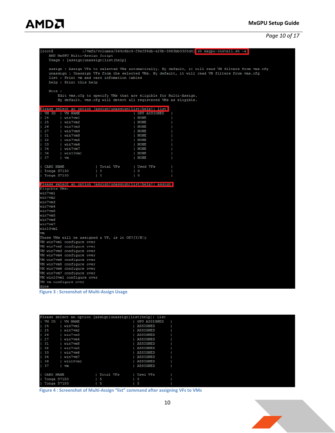## **AMDA**

#### *Page 10 of 17*

| [roote                                                      |                                                                  |                     | :/vmfs/volumes/564c6bc4-f9eff6db-e29b-3863bb3305d4] sh mxgpu-install.sh -a                          |
|-------------------------------------------------------------|------------------------------------------------------------------|---------------------|-----------------------------------------------------------------------------------------------------|
| AMD MxGPU Multi-Assign Script                               |                                                                  |                     |                                                                                                     |
| Usage : [assign unassign list help]                         |                                                                  |                     |                                                                                                     |
|                                                             |                                                                  |                     |                                                                                                     |
|                                                             |                                                                  |                     | assign : Assign VFs to selected VMs automatically. By default, it will read VM filters from vms.cfg |
|                                                             |                                                                  |                     | unassign : Unassign VFs from the selected VMs. By default, it will read VM filters from vms.cfg     |
| list : Print vm and card infomation tables                  |                                                                  |                     |                                                                                                     |
| help : Print this help                                      |                                                                  |                     |                                                                                                     |
|                                                             |                                                                  |                     |                                                                                                     |
| Note :                                                      |                                                                  |                     |                                                                                                     |
|                                                             | Edit vms. cfg to specify VMs that are eligible for Multi-Assign. |                     |                                                                                                     |
|                                                             | By default, vms.cfg will detect all registered VMs as eligible.  |                     |                                                                                                     |
|                                                             |                                                                  |                     |                                                                                                     |
| Please select an option [assign unassign list help]: list   |                                                                  |                     |                                                                                                     |
| VM ID   VM NAME                                             |                                                                  | <b>GPU ASSIGNED</b> |                                                                                                     |
|                                                             |                                                                  |                     |                                                                                                     |
| 124<br>  win7vm1                                            |                                                                  | <b>NONE</b>         |                                                                                                     |
| 25<br>  win7vm2                                             |                                                                  | <b>NONE</b>         |                                                                                                     |
| 126<br>  win7vm3                                            |                                                                  | <b>NONE</b>         |                                                                                                     |
| 127<br>  win7vm4                                            |                                                                  | <b>NONE</b>         |                                                                                                     |
| 31<br>  win7vm8                                             |                                                                  | <b>NONE</b>         |                                                                                                     |
| 32<br>  win7vm5                                             |                                                                  | <b>NONE</b>         |                                                                                                     |
| 33<br>п<br>  win7vm6                                        |                                                                  | <b>NONE</b>         |                                                                                                     |
| 34<br>  win7vm7                                             |                                                                  | <b>NONE</b>         |                                                                                                     |
| 36<br>$ $ win10 $v$ m1                                      |                                                                  | <b>NONE</b>         |                                                                                                     |
| $\vert$ 37<br>$\mathbf{v}$                                  |                                                                  | <b>NONE</b>         |                                                                                                     |
|                                                             |                                                                  |                     |                                                                                                     |
| CARD NAME                                                   | Total VFs                                                        | Used VFs            |                                                                                                     |
| Tonga S7150                                                 | $\vert 5$                                                        | O                   |                                                                                                     |
| $ $ Tonga $S7150$                                           | l 5                                                              | O                   |                                                                                                     |
|                                                             |                                                                  |                     |                                                                                                     |
| Please select an option [assign unassign list help]: assign |                                                                  |                     |                                                                                                     |
| Eligible VMs:                                               |                                                                  |                     |                                                                                                     |
| win7vm1                                                     |                                                                  |                     |                                                                                                     |
| win7vm2                                                     |                                                                  |                     |                                                                                                     |
| win7vm3                                                     |                                                                  |                     |                                                                                                     |
| win7vm4                                                     |                                                                  |                     |                                                                                                     |
| win7vm8                                                     |                                                                  |                     |                                                                                                     |
| win7vm5                                                     |                                                                  |                     |                                                                                                     |
| win7vm6                                                     |                                                                  |                     |                                                                                                     |
| win7vm7                                                     |                                                                  |                     |                                                                                                     |
| win10vm1                                                    |                                                                  |                     |                                                                                                     |
| vm                                                          |                                                                  |                     |                                                                                                     |
| These VMs will be assigned a VF, is it OK?[Y/N]y            |                                                                  |                     |                                                                                                     |
| VM win7vm1 configure over                                   |                                                                  |                     |                                                                                                     |
| VM win7vm2 configure over                                   |                                                                  |                     |                                                                                                     |
|                                                             |                                                                  |                     |                                                                                                     |
| VM win7vm3 configure over                                   |                                                                  |                     |                                                                                                     |
| VM win7vm4 configure over                                   |                                                                  |                     |                                                                                                     |
| VM win7vm8 configure over                                   |                                                                  |                     |                                                                                                     |
| VM win7vm5 configure over                                   |                                                                  |                     |                                                                                                     |
| VM win7vm6 configure over                                   |                                                                  |                     |                                                                                                     |
| VM win7vm7 configure over                                   |                                                                  |                     |                                                                                                     |
| VM win10vm1 configure over                                  |                                                                  |                     |                                                                                                     |
| VM vm configure over                                        |                                                                  |                     |                                                                                                     |
| done                                                        |                                                                  |                     |                                                                                                     |
| <b>Figure 3: Screenshot of Multi-Assign Usage</b>           |                                                                  |                     |                                                                                                     |
|                                                             |                                                                  |                     |                                                                                                     |

|                  |                | Please select an option [assign unassign list help]: list |  |
|------------------|----------------|-----------------------------------------------------------|--|
|                  |                |                                                           |  |
| I VM ID          | <b>VM NAME</b> | <b>GPU ASSIGNED</b>                                       |  |
| 124              | win7vm1        | <b>ASSIGNED</b>                                           |  |
| 125              | win7vm2        | <b>ASSIGNED</b>                                           |  |
| 126              | win7vm3        | <b>ASSIGNED</b>                                           |  |
| 127              | win7vm4        | <b>ASSIGNED</b>                                           |  |
| 131              | win7vm8        | <b>ASSIGNED</b>                                           |  |
| 132              | win7vm5        | <b>ASSIGNED</b>                                           |  |
| 133              | win7vm6        | <b>ASSIGNED</b>                                           |  |
| 134              | win7vm7        | <b>ASSIGNED</b>                                           |  |
| 136              | win10vm1       | <b>ASSIGNED</b>                                           |  |
| 137              | vm             | <b>ASSIGNED</b>                                           |  |
|                  |                |                                                           |  |
| <b>CARD NAME</b> |                | Total VFs<br>Used VFs                                     |  |
|                  | Tonga S7150    | 5<br>5                                                    |  |
|                  | Tonga S7150    | 5<br>5                                                    |  |

**Figure 4 : Screenshot of Multi-Assign "list" command after assigning VFs to VMs**

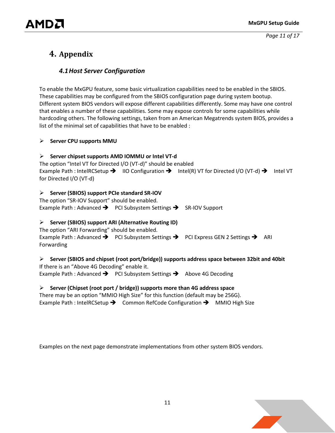### <span id="page-10-1"></span><span id="page-10-0"></span>**4. Appendix**

#### *4.1Host Server Configuration*

To enable the MxGPU feature, some basic virtualization capabilities need to be enabled in the SBIOS. These capabilities may be configured from the SBIOS configuration page during system bootup. Different system BIOS vendors will expose different capabilities differently. Some may have one control that enables a number of these capabilities. Some may expose controls for some capabilities while hardcoding others. The following settings, taken from an American Megatrends system BIOS, provides a list of the minimal set of capabilities that have to be enabled :

#### **Server CPU supports MMU**

#### **Server chipset supports AMD IOMMU or Intel VT-d**

The option "Intel VT for Directed I/O (VT-d)" should be enabled Example Path : IntelRCSetup  $\rightarrow$  IIO Configuration  $\rightarrow$  Intel(R) VT for Directed I/O (VT-d)  $\rightarrow$  Intel VT for Directed I/O (VT-d)

#### **Server (SBIOS) support PCIe standard SR-IOV**

The option "SR-IOV Support" should be enabled. Example Path : Advanced  $\rightarrow$  PCI Subsystem Settings  $\rightarrow$  SR-IOV Support

#### **Server (SBIOS) support ARI (Alternative Routing ID)**

The option "ARI Forwarding" should be enabled. Example Path : Advanced  $\rightarrow$  PCI Subsystem Settings  $\rightarrow$  PCI Express GEN 2 Settings  $\rightarrow$  ARI Forwarding

#### **Server (SBIOS and chipset (root port/bridge)) supports address space between 32bit and 40bit**

If there is an "Above 4G Decoding" enable it. Example Path : Advanced  $\rightarrow$  PCI Subsystem Settings  $\rightarrow$  Above 4G Decoding

#### **Server (Chipset (root port / bridge)) supports more than 4G address space**

There may be an option "MMIO High Size" for this function (default may be 256G). Example Path : IntelRCSetup  $\rightarrow$  Common RefCode Configuration  $\rightarrow$  MMIO High Size

Examples on the next page demonstrate implementations from other system BIOS vendors.

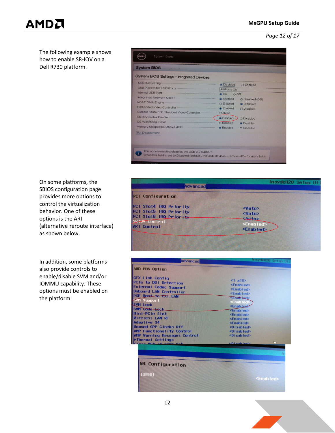*Page 12 of 17*

# AMDA

The following example shows how to enable SR-IOV on a Dell R730 platform.

| System BIOS                                                                                                                                                                                                                          |                       |                   |
|--------------------------------------------------------------------------------------------------------------------------------------------------------------------------------------------------------------------------------------|-----------------------|-------------------|
| <b>System BIOS Settings • Integrated Devices</b>                                                                                                                                                                                     |                       |                   |
| USB 3.0 Setting <b>Executive Setting</b>                                                                                                                                                                                             | · Disabled            | O Enabled         |
|                                                                                                                                                                                                                                      | All Ports On          |                   |
| Internal USB Port <b>Contract Contract Contract Contract Contract Contract Contract Contract Contract Contract Contract Contract Contract Contract Contract Contract Contract Contract Contract Contract Contract Contract Contr</b> | $\odot$ On<br>$O$ Off |                   |
|                                                                                                                                                                                                                                      | C Enabled             | O Disabled (OS)   |
| VOAT DMA Engine - Capital Contract Contract Contract Contract Contract Contract Contract Contract Contract Contract Contract Contract Contract Contract Contract Contract Contract Contract Contract Contract Contract Contrac       |                       | <b>•</b> Disabled |
| Embedded Video Controller                                                                                                                                                                                                            | <b>C</b> Enabled      | O Disabled        |
| Current State of Embedded Video Controller                                                                                                                                                                                           | Enabled               |                   |
| SR-IOV Global Enable                                                                                                                                                                                                                 | <b>Enabled</b>        | O Disabled        |
| OS Watchdog Timer                                                                                                                                                                                                                    | O Enabled             | <b>O</b> Disabled |
|                                                                                                                                                                                                                                      | <b>C</b> Enabled      | O Disabled        |
| <b>Slot Disablement</b>                                                                                                                                                                                                              |                       |                   |
|                                                                                                                                                                                                                                      |                       |                   |
|                                                                                                                                                                                                                                      |                       |                   |
|                                                                                                                                                                                                                                      |                       |                   |

On some platforms, the SBIOS configuration page provides more options to control the virtualization behavior. One of these options is the ARI (alternative reroute interface) as shown below.

In addition, some platforms also provide controls to enable/disable SVM and/or IOMMU capability. These options must be enabled on the platform.



| Advanced                                                                                                                                                                                                                                                                                                                                                                         | InsydeH20 Setup Uti                                                                                                                                                                                                                                                                                                                                                      |
|----------------------------------------------------------------------------------------------------------------------------------------------------------------------------------------------------------------------------------------------------------------------------------------------------------------------------------------------------------------------------------|--------------------------------------------------------------------------------------------------------------------------------------------------------------------------------------------------------------------------------------------------------------------------------------------------------------------------------------------------------------------------|
| AMD PBS Option                                                                                                                                                                                                                                                                                                                                                                   |                                                                                                                                                                                                                                                                                                                                                                          |
| <b>GFX Link Config</b><br>PCIe to DDI Detection<br><b>External Codec Support</b><br>Onboard LAN Controller<br>PXE Boot to EXT LAN<br><b>SVM Support</b><br><b>SVM Lock</b><br>SMM Code Lock<br>Mini-PCIe Slot<br>Wireless LAN RF<br>Adaptive \$4<br><b>Unused GPP Clocks Off</b><br><b>AMP Functionality Control</b><br><b>AMP Warning Messages Control</b><br>▶Thermal Settings | $<1$ $\times$ 16><br><enablerb<br><enablert><br/><enablert><br/><ematriced><br/><enabled><br/><enab le+<br=""><enablert><br/><fnabled><br/><enabled><br/><enabled><br/><math>Q</math> is abled&gt;<br/><math>&lt;</math>Disabled&gt;<br/><disabled></disabled></enabled></enabled></fnabled></enablert></enab></enabled></ematriced></enablert></enablert></enablerb<br> |
| Close MCA at warm ret                                                                                                                                                                                                                                                                                                                                                            | <b>chisabled&gt;</b>                                                                                                                                                                                                                                                                                                                                                     |
| <b>NB Configuration</b><br><b>10thu</b>                                                                                                                                                                                                                                                                                                                                          | <enabled></enabled>                                                                                                                                                                                                                                                                                                                                                      |

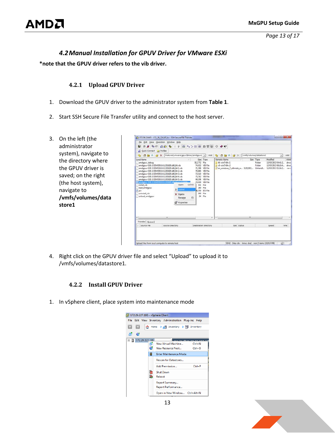*Page 13 of 17*

#### *4.2Manual Installation for GPUV Driver for VMware ESXi*

<span id="page-12-1"></span><span id="page-12-0"></span>**\*note that the GPUV driver refers to the vib driver.**

#### **4.2.1 Upload GPUV Driver**

- 1. Download the GPUV driver to the administrator system from **[Table 1](#page-4-1)**.
- 2. Start SSH Secure File Transfer utility and connect to the host server.
- 3. On the left (the administrator system), navigate to the directory where the GPUV driver is saved; on the right (the host system), navigate to **/vmfs/volumes/data store1**

| ы<br>Ouick Connect The Profiles                                                                                                                                                                                                                                                                                                                                                                                                                                      | <b>AS &amp; &amp; DD &amp; + + B + + + H # # # 5 0 0 W</b>                        |                                                                                                                                                                                                                                 |                                                                                                          |           |                              |                                                                |
|----------------------------------------------------------------------------------------------------------------------------------------------------------------------------------------------------------------------------------------------------------------------------------------------------------------------------------------------------------------------------------------------------------------------------------------------------------------------|-----------------------------------------------------------------------------------|---------------------------------------------------------------------------------------------------------------------------------------------------------------------------------------------------------------------------------|----------------------------------------------------------------------------------------------------------|-----------|------------------------------|----------------------------------------------------------------|
| B 西国 中 区 X Features\vmware\gpuv\Binary\amdgpuv\ - Add B 西 西 西 区 X Vmfs/volumes/datastore1                                                                                                                                                                                                                                                                                                                                                                            |                                                                                   |                                                                                                                                                                                                                                 |                                                                                                          |           |                              | $\frac{1}{2}$                                                  |
| Local Name<br>amdgpuv debug<br>amdgpuv-0.91-1OEM.550.0.0.1331820.x86_64.vib<br>amdqpuv-0.91-10EM.550.0.0.1331820.x86_64-1.vib<br>amdgpuv-0.91-10EM.550.0.0.1331820.x86_64-2.vib<br>amdgpuv-0.91-1OEM.550.0.0.1331820.x86_64-3.vib<br>amdgpuv-0.91-10EM.550.0.0.1331820.x86.64-4.vib<br>amdgpuv-0.91-1OEM.550.0.0.1331820.x86 64-5.vib<br>amdgpuy-0.91-1OEM.550.0.0.1331820.x86.64.711116000<br>install vib<br>load amdgpuv<br>pci<br>uninstall vib<br>unload amdopuv | Onen<br>$Cri+O$<br>P Upload<br>X Delete<br>Rename<br>F <sub>2</sub><br>Properties | Size Type<br>512.772 File<br>74,032 VIB File<br>71,398 VIB File<br>70,860 VIB File<br>73.510 VIB File<br>75.782 VIB File<br>68.208 VIB File<br>74.030 VIB File<br>S01 File<br>180 File<br>6 550 IDS File<br>300 File<br>34 File | Remote Name<br>16-win7-64v-1<br>$6 - \frac{1}{2} - 64x - 2$<br>en_windows_7_ultimate_w 3320,903  Unhandl | Size Type | Modified<br>Folder<br>Folder | 13/03/2013 04:41:2<br>13/03/2013 06:10:4<br>12/03/2013 11:14:2 |
| $\epsilon$<br>m                                                                                                                                                                                                                                                                                                                                                                                                                                                      |                                                                                   |                                                                                                                                                                                                                                 | ,                                                                                                        | (m)       |                              |                                                                |
|                                                                                                                                                                                                                                                                                                                                                                                                                                                                      |                                                                                   |                                                                                                                                                                                                                                 |                                                                                                          |           |                              |                                                                |
| Transfer   Queue  <br>Source File                                                                                                                                                                                                                                                                                                                                                                                                                                    | Source Directory                                                                  | <b>Destination Directory</b>                                                                                                                                                                                                    | Size Status                                                                                              |           | Speed                        | Time                                                           |

<span id="page-12-2"></span>4. Right click on the GPUV driver file and select "Upload" to upload it to /vmfs/volumes/datastore1.

#### **4.2.2 Install GPUV Driver**

1. In vSphere client, place system into maintenance mode



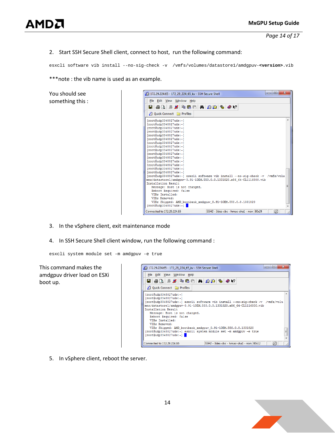#### 2. Start SSH Secure Shell client, connect to host, run the following command:

esxcli software vib install --no-sig-check -v /vmfs/volumes/datastore1/amdgpuv-**<version>**.vib

#### \*\*\*note : the vib name is used as an example.

You should see something this :



- 3. In the vSphere client, exit maintenance mode
- 4. In SSH Secure Shell client window, run the following command :

esxcli system module set -m amdgpuv -e true

This command makes the amdgpuv driver load on ESXi boot up.



5. In vSphere client, reboot the server.

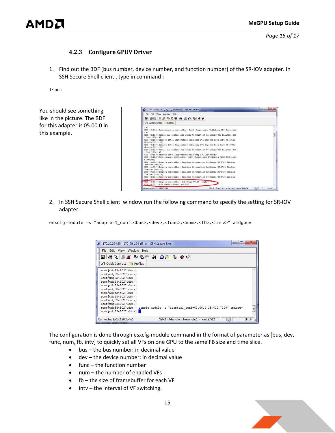#### **4.2.3 Configure GPUV Driver**

<span id="page-14-0"></span>1. Find out the BDF (bus number, device number, and function number) of the SR-IOV adapter. In SSH Secure Shell client , type in command :

lspci

You should see something like in the picture. The BDF for this adapter is 05.00.0 in this example.

| <b>BABBCADD + 0W</b><br>2 Ouick Connect @ Profiles<br>r 41<br>0000:00:16.1 Communication controller: Intel Corporation Wellsburg MEI Controlle<br>$= 42$<br>0000:00:1a.0 Serial bus controller: Intel Corporation Wellsburg USB Enhanced Hos<br>t Controller #2<br>0000:00:16.0 Bridge: Intel Corporation Wellsburg PCI Express Root Port #1 (PCIe<br>0000:00:1c.7 Bridge: Intel Corporation Wellsburg PCI Express Root Port #8 (PCIe<br>0000:00:1d.0 Serial bus controller: Intel Corporation Wellsburg USB Enhanced Hos<br>t Controller #1<br>0000:00:1f.0 Bridge: Intel Corporation Wellsburg LPC Controller<br>0000:00:1f.2 Mass storage controller: Intel Corporation Wellsburg RAID Controlle<br>r (vmhball<br>0000:01:00.0 Network controller: Broadcom Corporation NetXtreme BCM5720 Gigabit<br>Ethernet (vmnic0)<br>0000:01:00.1 Network controller: Broadcom Corporation NetXtreme BCM5720 Gigabit<br>0000:02:00.0 Network controller: Broadcom Corporation NetXtreme BCM5720 Gigabit<br>0000:02:00.1 Network controller: Broadcom Corporation NetXtreme BCM5720 Gigabit |                                          |    |            |
|------------------------------------------------------------------------------------------------------------------------------------------------------------------------------------------------------------------------------------------------------------------------------------------------------------------------------------------------------------------------------------------------------------------------------------------------------------------------------------------------------------------------------------------------------------------------------------------------------------------------------------------------------------------------------------------------------------------------------------------------------------------------------------------------------------------------------------------------------------------------------------------------------------------------------------------------------------------------------------------------------------------------------------------------------------------------------------|------------------------------------------|----|------------|
| RP/0000:00:1c.011<br>RP(0000:00:1c.711<br>Ethernet [vmnic1]<br>Ethernet (vmnic2)                                                                                                                                                                                                                                                                                                                                                                                                                                                                                                                                                                                                                                                                                                                                                                                                                                                                                                                                                                                                   |                                          |    |            |
| Frharnat, Ismaand                                                                                                                                                                                                                                                                                                                                                                                                                                                                                                                                                                                                                                                                                                                                                                                                                                                                                                                                                                                                                                                                  |                                          |    |            |
|                                                                                                                                                                                                                                                                                                                                                                                                                                                                                                                                                                                                                                                                                                                                                                                                                                                                                                                                                                                                                                                                                    |                                          |    |            |
|                                                                                                                                                                                                                                                                                                                                                                                                                                                                                                                                                                                                                                                                                                                                                                                                                                                                                                                                                                                                                                                                                    |                                          |    |            |
|                                                                                                                                                                                                                                                                                                                                                                                                                                                                                                                                                                                                                                                                                                                                                                                                                                                                                                                                                                                                                                                                                    |                                          |    |            |
|                                                                                                                                                                                                                                                                                                                                                                                                                                                                                                                                                                                                                                                                                                                                                                                                                                                                                                                                                                                                                                                                                    |                                          |    |            |
|                                                                                                                                                                                                                                                                                                                                                                                                                                                                                                                                                                                                                                                                                                                                                                                                                                                                                                                                                                                                                                                                                    |                                          |    |            |
|                                                                                                                                                                                                                                                                                                                                                                                                                                                                                                                                                                                                                                                                                                                                                                                                                                                                                                                                                                                                                                                                                    |                                          |    |            |
|                                                                                                                                                                                                                                                                                                                                                                                                                                                                                                                                                                                                                                                                                                                                                                                                                                                                                                                                                                                                                                                                                    |                                          |    |            |
|                                                                                                                                                                                                                                                                                                                                                                                                                                                                                                                                                                                                                                                                                                                                                                                                                                                                                                                                                                                                                                                                                    |                                          |    |            |
|                                                                                                                                                                                                                                                                                                                                                                                                                                                                                                                                                                                                                                                                                                                                                                                                                                                                                                                                                                                                                                                                                    |                                          |    |            |
|                                                                                                                                                                                                                                                                                                                                                                                                                                                                                                                                                                                                                                                                                                                                                                                                                                                                                                                                                                                                                                                                                    |                                          |    |            |
|                                                                                                                                                                                                                                                                                                                                                                                                                                                                                                                                                                                                                                                                                                                                                                                                                                                                                                                                                                                                                                                                                    |                                          |    |            |
|                                                                                                                                                                                                                                                                                                                                                                                                                                                                                                                                                                                                                                                                                                                                                                                                                                                                                                                                                                                                                                                                                    |                                          |    |            |
|                                                                                                                                                                                                                                                                                                                                                                                                                                                                                                                                                                                                                                                                                                                                                                                                                                                                                                                                                                                                                                                                                    |                                          |    |            |
|                                                                                                                                                                                                                                                                                                                                                                                                                                                                                                                                                                                                                                                                                                                                                                                                                                                                                                                                                                                                                                                                                    |                                          |    |            |
|                                                                                                                                                                                                                                                                                                                                                                                                                                                                                                                                                                                                                                                                                                                                                                                                                                                                                                                                                                                                                                                                                    |                                          |    |            |
| #0000:05:00.0 Display controller: AMD Tonga W7100 (wmgfx0)<br>0000:05:00.1 Multimedia controller: AMD                                                                                                                                                                                                                                                                                                                                                                                                                                                                                                                                                                                                                                                                                                                                                                                                                                                                                                                                                                              |                                          |    |            |
| Connected to 172.29.227.195                                                                                                                                                                                                                                                                                                                                                                                                                                                                                                                                                                                                                                                                                                                                                                                                                                                                                                                                                                                                                                                        | SSH2 - 3des-cbc - hmac-shal - non 111x24 | K. | <b>NUM</b> |

2. In SSH Secure Shell client window run the following command to specify the setting for SR-IOV adapter:

esxcfg-module -s "adapter1\_conf=<br/>>bus>,<dev>,<func>,<num>,<fb>,<intv>" amdgpuv

| ıн<br>172.29.224.65 - 172 29 224 65 kv - SSH Secure Shell                           | Ж          |
|-------------------------------------------------------------------------------------|------------|
| File Edit View Window Help                                                          |            |
| E 8 Q F 2 D 6 H A 8 D 4 X 2                                                         |            |
| Ouick Connect <b>Profiles</b>                                                       |            |
| [root@udp3348027uds:~]                                                              |            |
| [root@udp3348027uds:~]                                                              |            |
| $[root[udp3348027uds:-]$                                                            |            |
| $[root]$ udp3348027uds: $~1$                                                        |            |
| $[root]$ udp3348027uds: $~$<br>$[root]$ udp3348027uds: $~1$                         |            |
| [root@udp3348027uds:~]                                                              |            |
| [root@udp3348027uds:~]                                                              |            |
| [root@udp3348027uds:~]                                                              |            |
| [root@udp3348027uds:~]                                                              |            |
| [root@udp3348027uds:~] esxcfg-module -s "adapter1_conf=01,00,0,15,512,7000" amdgpuv | Ξ          |
| [root@udp3348027uds:~]                                                              |            |
| SSH2 - 3des-cbc - hmac-sha1 - non 87x12<br>Connected to 172.29.224.65               | <b>NUN</b> |

The configuration is done through esxcfg-module command in the format of parameter as [bus, dev, func, num, fb, intv] to quickly set all VFs on one GPU to the same FB size and time slice.

- bus the bus number: in decimal value
- dev the device number: in decimal value
- func the function number
- num the number of enabled VFs
- fb the size of framebuffer for each VF
- intv the interval of VF switching.

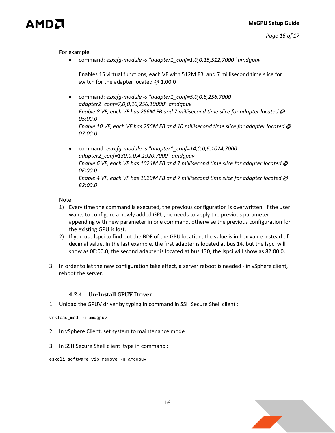For example,

• command: *esxcfg-module -s "adapter1\_conf=1,0,0,15,512,7000" amdgpuv* 

Enables 15 virtual functions, each VF with 512M FB, and 7 millisecond time slice for switch for the adapter located  $\omega$  1.00.0

- command: *esxcfg-module -s "adapter1\_conf=5,0,0,8,256,7000 adapter2\_conf=7,0,0,10,256,10000" amdgpuv Enable 8 VF, each VF has 256M FB and 7 millisecond time slice for adapter located @ 05:00.0 Enable 10 VF, each VF has 256M FB and 10 millisecond time slice for adapter located @ 07:00.0*
- command: *esxcfg-module -s "adapter1\_conf=14,0,0,6,1024,7000 adapter2\_conf=130,0,0,4,1920,7000" amdgpuv Enable 6 VF, each VF has 1024M FB and 7 millisecond time slice for adapter located @ 0E:00.0 Enable 4 VF, each VF has 1920M FB and 7 millisecond time slice for adapter located @ 82:00.0*

Note:

- 1) Every time the command is executed, the previous configuration is overwritten. If the user wants to configure a newly added GPU, he needs to apply the previous parameter appending with new parameter in one command, otherwise the previous configuration for the existing GPU is lost.
- 2) If you use lspci to find out the BDF of the GPU location, the value is in hex value instead of decimal value. In the last example, the first adapter is located at bus 14, but the lspci will show as 0E:00.0; the second adapter is located at bus 130, the lspci will show as 82:00.0.
- 3. In order to let the new configuration take effect, a server reboot is needed in vSphere client, reboot the server.

#### **4.2.4 Un-Install GPUV Driver**

<span id="page-15-0"></span>1. Unload the GPUV driver by typing in command in SSH Secure Shell client :

vmkload\_mod -u amdgpuv

- 2. In vSphere Client, set system to maintenance mode
- 3. In SSH Secure Shell client type in command :

esxcli software vib remove -n amdgpuv